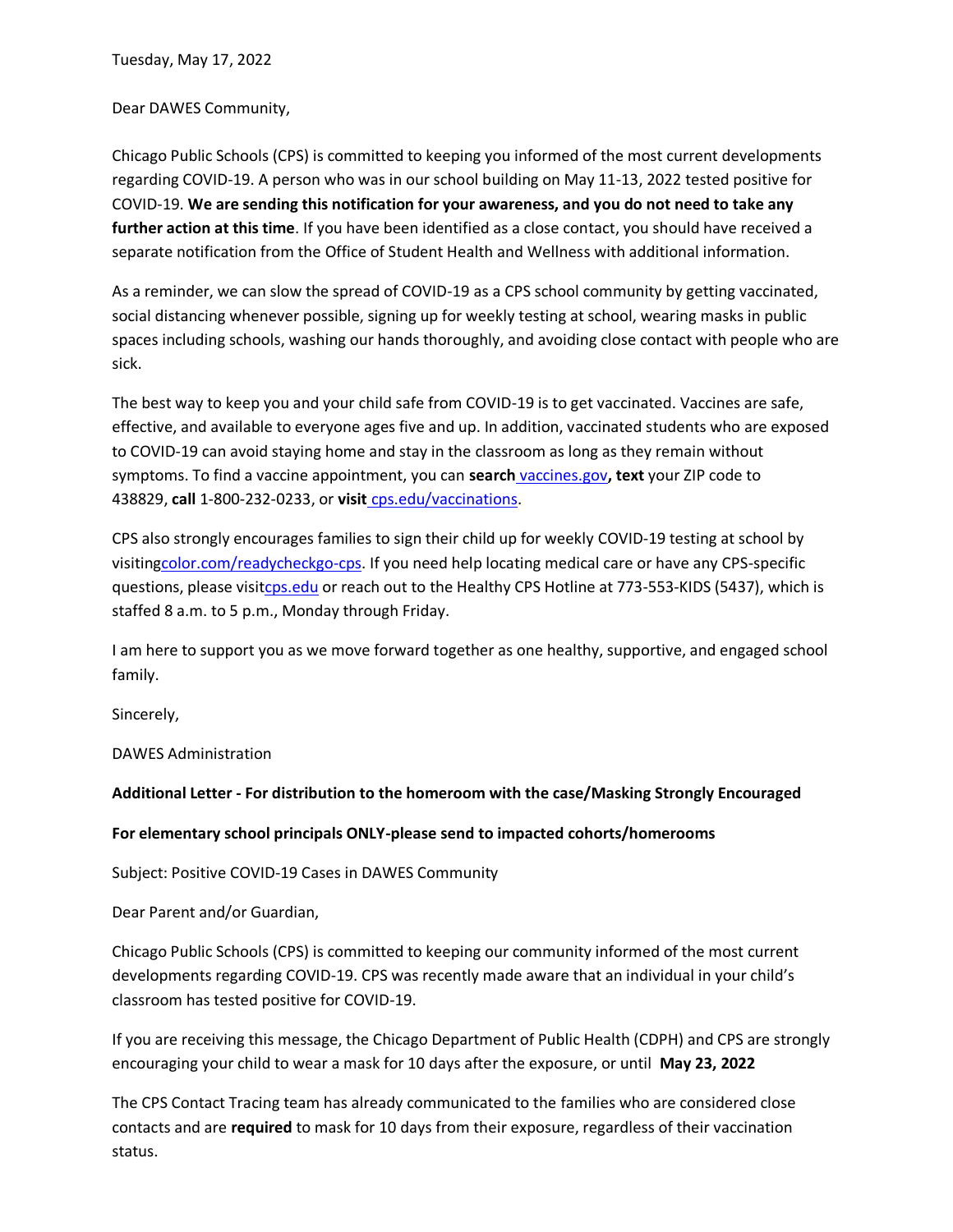Tuesday, May 17, 2022

Dear DAWES Community,

Chicago Public Schools (CPS) is committed to keeping you informed of the most current developments regarding COVID-19. A person who was in our school building on May 11-13, 2022 tested positive for COVID-19. **We are sending this notification for your awareness, and you do not need to take any further action at this time**. If you have been identified as a close contact, you should have received a separate notification from the Office of Student Health and Wellness with additional information.

As a reminder, we can slow the spread of COVID-19 as a CPS school community by getting vaccinated, social distancing whenever possible, signing up for weekly testing at school, wearing masks in public spaces including schools, washing our hands thoroughly, and avoiding close contact with people who are sick.

The best way to keep you and your child safe from COVID-19 is to get vaccinated. Vaccines are safe, effective, and available to everyone ages five and up. In addition, vaccinated students who are exposed to COVID-19 can avoid staying home and stay in the classroom as long as they remain without symptoms. To find a vaccine appointment, you can **search** [vaccines.gov](http://vaccines.gov/)**, text** your ZIP code to 438829, **call** 1-800-232-0233, or **visit** [cps.edu/vaccinations.](https://www.cps.edu/services-and-supports/covid-19-resources/covid-19-vaccination/)

CPS also strongly encourages families to sign their child up for weekly COVID-19 testing at school by visitin[gcolor.com/readycheckgo-cps.](http://color.com/readycheckgo-cps) If you need help locating medical care or have any CPS-specific questions, please visi[tcps.edu](http://cps.edu/) or reach out to the Healthy CPS Hotline at 773-553-KIDS (5437), which is staffed 8 a.m. to 5 p.m., Monday through Friday.

I am here to support you as we move forward together as one healthy, supportive, and engaged school family.

Sincerely,

DAWES Administration

**Additional Letter - For distribution to the homeroom with the case/Masking Strongly Encouraged**

**For elementary school principals ONLY-please send to impacted cohorts/homerooms**

Subject: Positive COVID-19 Cases in DAWES Community

Dear Parent and/or Guardian,

Chicago Public Schools (CPS) is committed to keeping our community informed of the most current developments regarding COVID-19. CPS was recently made aware that an individual in your child's classroom has tested positive for COVID-19.

If you are receiving this message, the Chicago Department of Public Health (CDPH) and CPS are strongly encouraging your child to wear a mask for 10 days after the exposure, or until **May 23, 2022**

The CPS Contact Tracing team has already communicated to the families who are considered close contacts and are **required** to mask for 10 days from their exposure, regardless of their vaccination status.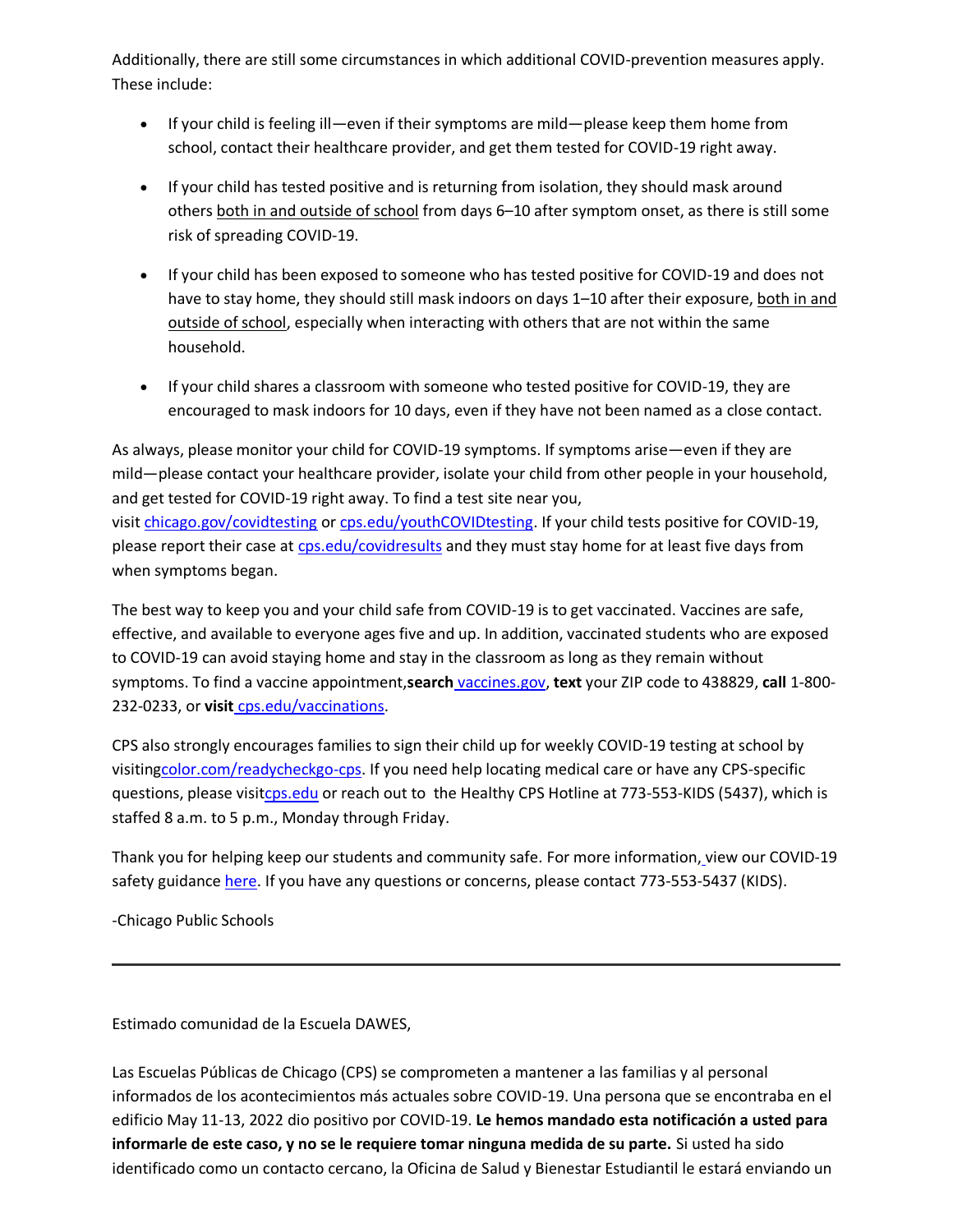Additionally, there are still some circumstances in which additional COVID-prevention measures apply. These include:

- If your child is feeling ill—even if their symptoms are mild—please keep them home from school, contact their healthcare provider, and get them tested for COVID-19 right away.
- If your child has tested positive and is returning from isolation, they should mask around others both in and outside of school from days 6–10 after symptom onset, as there is still some risk of spreading COVID-19.
- If your child has been exposed to someone who has tested positive for COVID-19 and does not have to stay home, they should still mask indoors on days 1-10 after their exposure, both in and outside of school, especially when interacting with others that are not within the same household.
- If your child shares a classroom with someone who tested positive for COVID-19, they are encouraged to mask indoors for 10 days, even if they have not been named as a close contact.

As always, please monitor your child for COVID-19 symptoms. If symptoms arise—even if they are mild—please contact your healthcare provider, isolate your child from other people in your household, and get tested for COVID-19 right away. To find a test site near you, visit [chicago.gov/covidtesting](https://www.chicago.gov/city/en/sites/covid-19/home/covid-testing.html) or [cps.edu/youthCOVIDtesting.](http://cps.edu/youthCOVIDtesting) If your child tests positive for COVID-19, please report their case at [cps.edu/covidresults](http://cps.edu/covidresults) and they must stay home for at least five days from when symptoms began.

The best way to keep you and your child safe from COVID-19 is to get vaccinated. Vaccines are safe, effective, and available to everyone ages five and up. In addition, vaccinated students who are exposed to COVID-19 can avoid staying home and stay in the classroom as long as they remain without symptoms. To find a vaccine appointment,**search** [vaccines.gov,](http://vaccines.gov/) **text** your ZIP code to 438829, **call** 1-800- 232-0233, or **visit** [cps.edu/vaccinations.](https://www.cps.edu/services-and-supports/covid-19-resources/covid-19-vaccination/)

CPS also strongly encourages families to sign their child up for weekly COVID-19 testing at school by visitin[gcolor.com/readycheckgo-cps.](http://color.com/readycheckgo-cps) If you need help locating medical care or have any CPS-specific questions, please visi[tcps.edu](http://cps.edu/) or reach out to the Healthy CPS Hotline at 773-553-KIDS (5437), which is staffed 8 a.m. to 5 p.m., Monday through Friday.

Thank you for helping keep our students and community safe. For more information, [v](https://www.cps.edu/services-and-supports/covid-19-resources/covid-19-travel-guidance/)iew our COVID-19 safety guidance [here.](https://www.cps.edu/services-and-supports/covid-19-resources/safety-guidance/) If you have any questions or concerns, please contact 773-553-5437 (KIDS).

-Chicago Public Schools

Estimado comunidad de la Escuela DAWES,

Las Escuelas Públicas de Chicago (CPS) se comprometen a mantener a las familias y al personal informados de los acontecimientos más actuales sobre COVID-19. Una persona que se encontraba en el edificio May 11-13, 2022 dio positivo por COVID-19. **Le hemos mandado esta notificación a usted para informarle de este caso, y no se le requiere tomar ninguna medida de su parte.** Si usted ha sido identificado como un contacto cercano, la Oficina de Salud y Bienestar Estudiantil le estará enviando un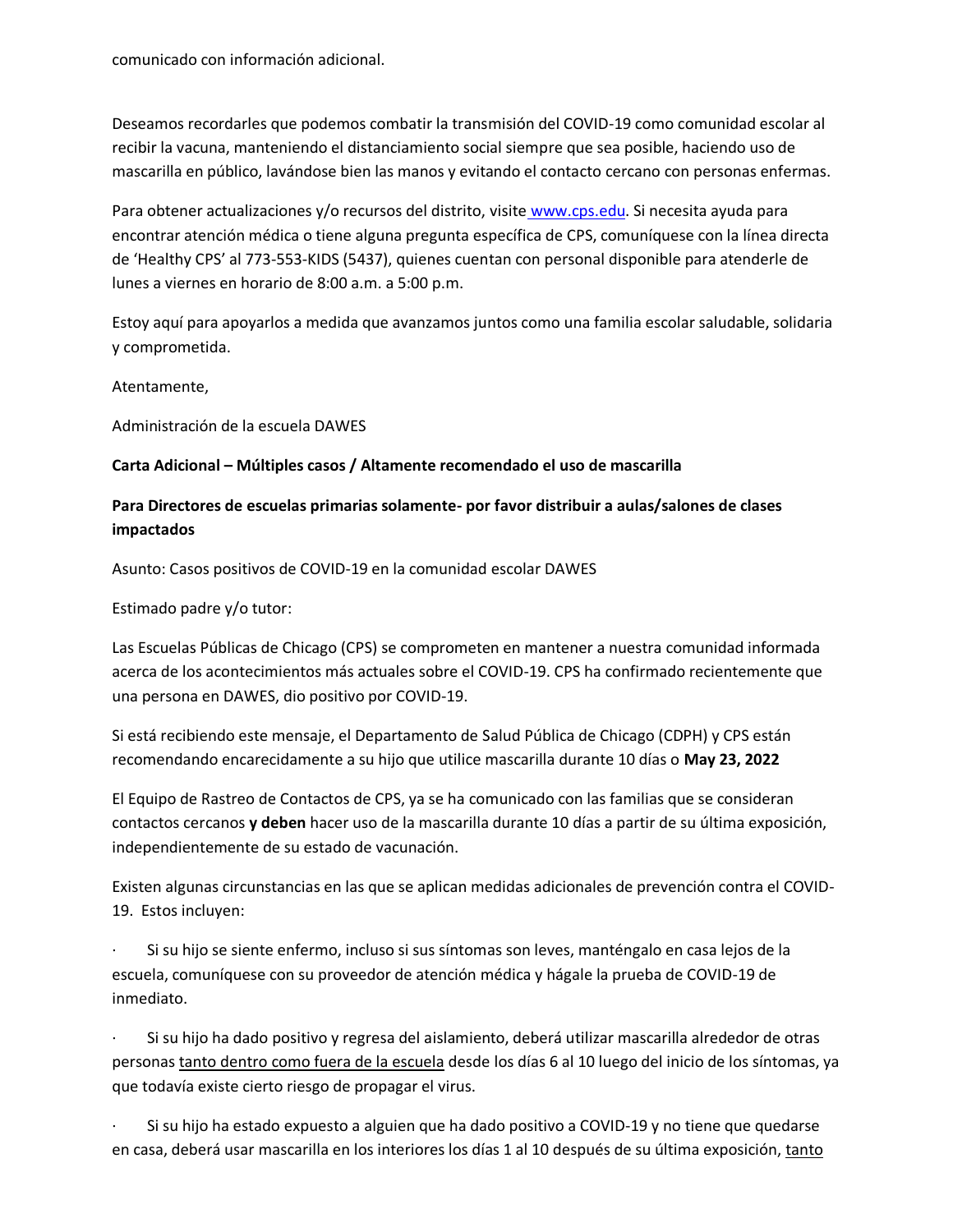comunicado con información adicional.

Deseamos recordarles que podemos combatir la transmisión del COVID-19 como comunidad escolar al recibir la vacuna, manteniendo el distanciamiento social siempre que sea posible, haciendo uso de mascarilla en público, lavándose bien las manos y evitando el contacto cercano con personas enfermas.

Para obtener actualizaciones y/o recursos del distrito, visite [www.cps.edu.](https://www.cps.edu/) Si necesita ayuda para encontrar atención médica o tiene alguna pregunta específica de CPS, comuníquese con la línea directa de 'Healthy CPS' al 773-553-KIDS (5437), quienes cuentan con personal disponible para atenderle de lunes a viernes en horario de 8:00 a.m. a 5:00 p.m.

Estoy aquí para apoyarlos a medida que avanzamos juntos como una familia escolar saludable, solidaria y comprometida.

Atentamente,

Administración de la escuela DAWES

## **Carta Adicional – Múltiples casos / Altamente recomendado el uso de mascarilla**

## **Para Directores de escuelas primarias solamente- por favor distribuir a aulas/salones de clases impactados**

Asunto: Casos positivos de COVID-19 en la comunidad escolar DAWES

Estimado padre y/o tutor:

Las Escuelas Públicas de Chicago (CPS) se comprometen en mantener a nuestra comunidad informada acerca de los acontecimientos más actuales sobre el COVID-19. CPS ha confirmado recientemente que una persona en DAWES, dio positivo por COVID-19.

Si está recibiendo este mensaje, el Departamento de Salud Pública de Chicago (CDPH) y CPS están recomendando encarecidamente a su hijo que utilice mascarilla durante 10 días o **May 23, 2022**

El Equipo de Rastreo de Contactos de CPS, ya se ha comunicado con las familias que se consideran contactos cercanos **y deben** hacer uso de la mascarilla durante 10 días a partir de su última exposición, independientemente de su estado de vacunación.

Existen algunas circunstancias en las que se aplican medidas adicionales de prevención contra el COVID-19. Estos incluyen:

· Si su hijo se siente enfermo, incluso si sus síntomas son leves, manténgalo en casa lejos de la escuela, comuníquese con su proveedor de atención médica y hágale la prueba de COVID-19 de inmediato.

· Si su hijo ha dado positivo y regresa del aislamiento, deberá utilizar mascarilla alrededor de otras personas tanto dentro como fuera de la escuela desde los días 6 al 10 luego del inicio de los síntomas, ya que todavía existe cierto riesgo de propagar el virus.

Si su hijo ha estado expuesto a alguien que ha dado positivo a COVID-19 y no tiene que quedarse en casa, deberá usar mascarilla en los interiores los días 1 al 10 después de su última exposición, tanto